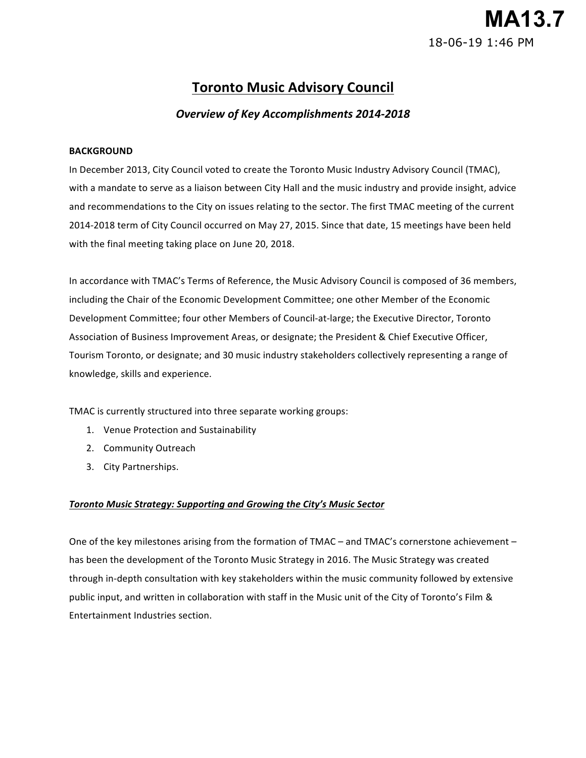# **MA13.7** 18-06-19 1:46 PM

## **Toronto Music Advisory Council**

## *Overview of Key Accomplishments 2014-2018*

#### **BACKGROUND**

In December 2013, City Council voted to create the Toronto Music Industry Advisory Council (TMAC), with a mandate to serve as a liaison between City Hall and the music industry and provide insight, advice and recommendations to the City on issues relating to the sector. The first TMAC meeting of the current 2014-2018 term of City Council occurred on May 27, 2015. Since that date, 15 meetings have been held with the final meeting taking place on June 20, 2018.

In accordance with TMAC's Terms of Reference, the Music Advisory Council is composed of 36 members, Development Committee; four other Members of Council-at-large; the Executive Director, Toronto Association of Business Improvement Areas, or designate; the President & Chief Executive Officer, Tourism Toronto, or designate; and 30 music industry stakeholders collectively representing a range of knowledge, skills and experience. including the Chair of the Economic Development Committee; one other Member of the Economic

TMAC is currently structured into three separate working groups:

- 1. Venue Protection and Sustainability
- 2. Community Outreach
- 3. City Partnerships.

#### *Toronto Music Strategy: Supporting and Growing the City's Music Sector*

One of the key milestones arising from the formation of TMAC - and TMAC's cornerstone achievement has been the development of the Toronto Music Strategy in 2016. The Music Strategy was created through in-depth consultation with key stakeholders within the music community followed by extensive public input, and written in collaboration with staff in the Music unit of the City of Toronto's Film & Entertainment Industries section.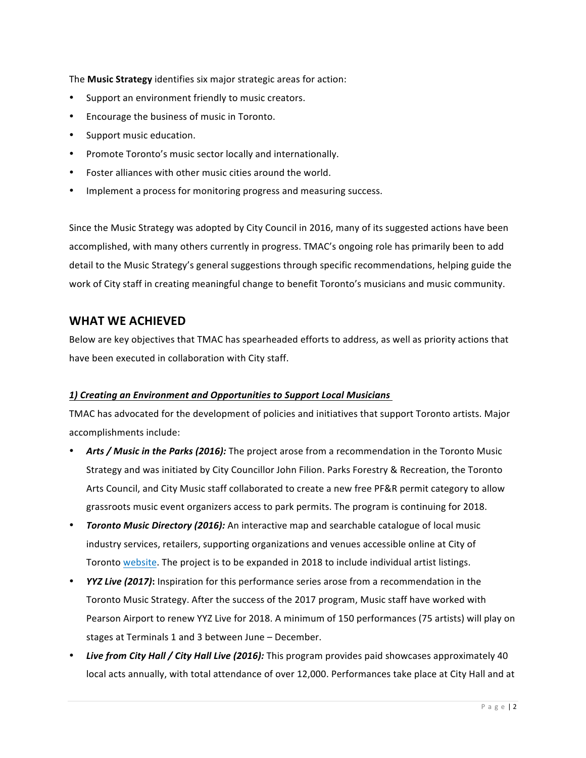The **Music Strategy** identifies six major strategic areas for action:

- Support an environment friendly to music creators.
- Encourage the business of music in Toronto.
- Support music education.
- Promote Toronto's music sector locally and internationally.
- Foster alliances with other music cities around the world.
- Implement a process for monitoring progress and measuring success.

Since the Music Strategy was adopted by City Council in 2016, many of its suggested actions have been accomplished, with many others currently in progress. TMAC's ongoing role has primarily been to add detail to the Music Strategy's general suggestions through specific recommendations, helping guide the work of City staff in creating meaningful change to benefit Toronto's musicians and music community.

## **WHAT WE ACHIEVED**

Below are key objectives that TMAC has spearheaded efforts to address, as well as priority actions that have been executed in collaboration with City staff.

#### *1) Creating an Environment and Opportunities to Support Local Musicians*

TMAC has advocated for the development of policies and initiatives that support Toronto artists. Major accomplishments include:

- Arts / Music in the Parks (2016): The project arose from a recommendation in the Toronto Music Strategy and was initiated by City Councillor John Filion. Parks Forestry & Recreation, the Toronto Arts Council, and City Music staff collaborated to create a new free PF&R permit category to allow grassroots music event organizers access to park permits. The program is continuing for 2018.
- **Toronto Music Directory (2016):** An interactive map and searchable catalogue of local music industry services, retailers, supporting organizations and venues accessible online at City of Toronto website. The project is to be expanded in 2018 to include individual artist listings.
- *YYZ Live (2017)*: Inspiration for this performance series arose from a recommendation in the Toronto Music Strategy. After the success of the 2017 program, Music staff have worked with Pearson Airport to renew YYZ Live for 2018. A minimum of 150 performances (75 artists) will play on stages at Terminals 1 and 3 between June - December.
- Live from City *Hall / City Hall Live (2016):* This program provides paid showcases approximately 40 local acts annually, with total attendance of over 12,000. Performances take place at City Hall and at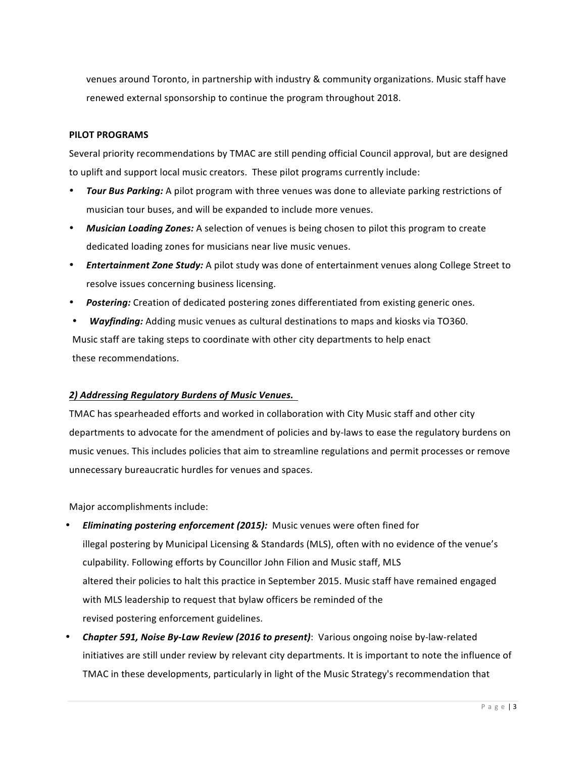venues around Toronto, in partnership with industry & community organizations. Music staff have renewed external sponsorship to continue the program throughout 2018.

#### **PILOT PROGRAMS**

Several priority recommendations by TMAC are still pending official Council approval, but are designed to uplift and support local music creators. These pilot programs currently include:

- *Tour Bus Parking:* A pilot program with three venues was done to alleviate parking restrictions of musician tour buses, and will be expanded to include more venues.
- Musician Loading Zones: A selection of venues is being chosen to pilot this program to create dedicated loading zones for musicians near live music venues.
- **Entertainment Zone Study:** A pilot study was done of entertainment venues along College Street to resolve issues concerning business licensing.
- Postering: Creation of dedicated postering zones differentiated from existing generic ones.
- *Wayfinding:* Adding music venues as cultural destinations to maps and kiosks via TO360. Music staff are taking steps to coordinate with other city departments to help enact these recommendations.

#### *2) Addressing Regulatory Burdens of Music Venues.*

 TMAC has spearheaded efforts and worked in collaboration with City Music staff and other city departments to advocate for the amendment of policies and by-laws to ease the regulatory burdens on music venues. This includes policies that aim to streamline regulations and permit processes or remove unnecessary bureaucratic hurdles for venues and spaces.

 Major accomplishments include:

- **Eliminating postering enforcement (2015):** Music venues were often fined for illegal postering by Municipal Licensing & Standards (MLS), often with no evidence of the venue's culpability. Following efforts by Councillor John Filion and Music staff, MLS altered their policies to halt this practice in September 2015. Music staff have remained engaged with MLS leadership to request that bylaw officers be reminded of the revised postering enforcement guidelines.
- **Chapter 591, Noise By-Law Review (2016 to present):** Various ongoing noise by-law-related initiatives are still under review by relevant city departments. It is important to note the influence of TMAC in these developments, particularly in light of the Music Strategy's recommendation that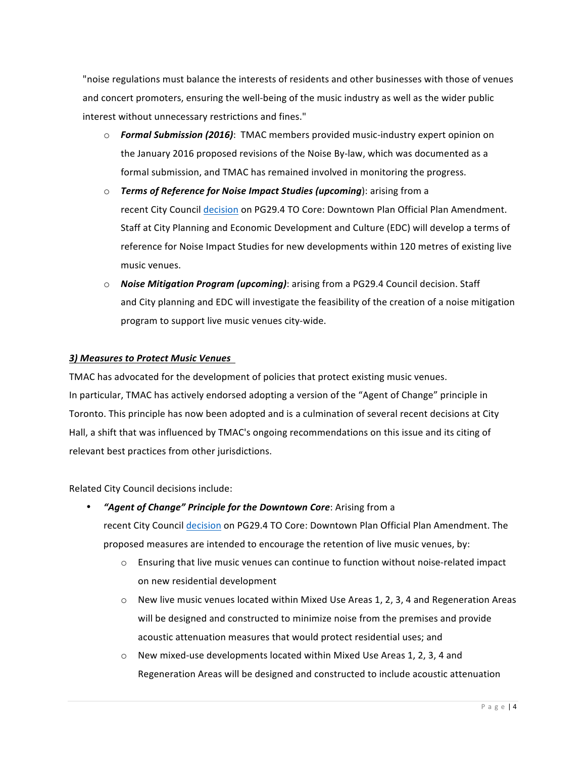"noise regulations must balance the interests of residents and other businesses with those of venues and concert promoters, ensuring the well-being of the music industry as well as the wider public interest without unnecessary restrictions and fines."

- $\circ$  **Formal Submission (2016)**: TMAC members provided music-industry expert opinion on the January 2016 proposed revisions of the Noise By-law, which was documented as a formal submission, and TMAC has remained involved in monitoring the progress.
- o Terms of Reference for Noise Impact Studies (upcoming): arising from a recent City Council decision on PG29.4 TO Core: Downtown Plan Official Plan Amendment. Staff at City Planning and Economic Development and Culture (EDC) will develop a terms of reference for Noise Impact Studies for new developments within 120 metres of existing live music venues.
- $\circ$  *Noise Mitigation Program (upcoming)*: arising from a PG29.4 Council decision. Staff and City planning and EDC will investigate the feasibility of the creation of a noise mitigation program to support live music venues city-wide.

#### *3) Measures to Protect Music Venues*

TMAC has advocated for the development of policies that protect existing music venues. In particular, TMAC has actively endorsed adopting a version of the "Agent of Change" principle in Toronto. This principle has now been adopted and is a culmination of several recent decisions at City Hall, a shift that was influenced by TMAC's ongoing recommendations on this issue and its citing of relevant best practices from other jurisdictions.

 Related City Council decisions include:

- **•** *"Agent of Change" Principle for the Downtown Core: Arising from a* recent City Council decision on PG29.4 TO Core: Downtown Plan Official Plan Amendment. The proposed measures are intended to encourage the retention of live music venues, by:
	- $\circ$  Ensuring that live music venues can continue to function without noise-related impact on new residential development
	- o New live music venues located within Mixed Use Areas 1, 2, 3, 4 and Regeneration Areas will be designed and constructed to minimize noise from the premises and provide acoustic attenuation measures that would protect residential uses; and
	- $\circ$  New mixed-use developments located within Mixed Use Areas 1, 2, 3, 4 and Regeneration Areas will be designed and constructed to include acoustic attenuation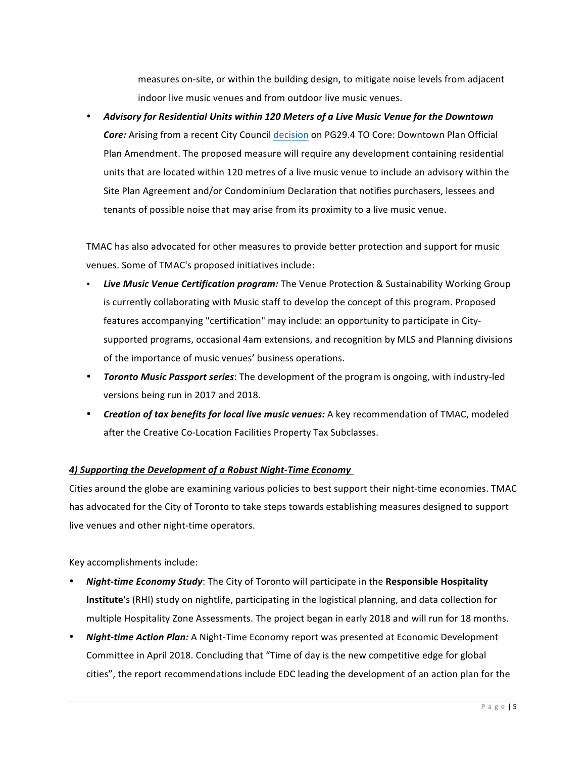measures on-site, or within the building design, to mitigate noise levels from adjacent indoor live music venues and from outdoor live music venues.

• Advisory for Residential Units within 120 Meters of a Live Music Venue for the Downtown Core: Arising from a recent City Council decision on PG29.4 TO Core: Downtown Plan Official Plan Amendment. The proposed measure will require any development containing residential units that are located within 120 metres of a live music venue to include an advisory within the Site Plan Agreement and/or Condominium Declaration that notifies purchasers, lessees and tenants of possible noise that may arise from its proximity to a live music venue.

 TMAC has also advocated for other measures to provide better protection and support for music venues. Some of TMAC's proposed initiatives include:

- Live Music Venue Certification program: The Venue Protection & Sustainability Working Group is currently collaborating with Music staff to develop the concept of this program. Proposed features accompanying "certification" may include: an opportunity to participate in City- supported programs, occasional 4am extensions, and recognition by MLS and Planning divisions of the importance of music venues' business operations.
- **Toronto Music Passport series**: The development of the program is ongoing, with industry-led versions being run in 2017 and 2018.
- **Creation of tax benefits for local live music venues:** A key recommendation of TMAC, modeled after the Creative Co-Location Facilities Property Tax Subclasses.

#### *A)* Supporting the Development of a Robust Night-Time Economy

Cities around the globe are examining various policies to best support their night-time economies. TMAC has advocated for the City of Toronto to take steps towards establishing measures designed to support live venues and other night-time operators.

Key accomplishments include:

- **Night-time Economy Study**: The City of Toronto will participate in the Responsible Hospitality **Institute'**s (RHI) study on nightlife, participating in the logistical planning, and data collection for multiple Hospitality Zone Assessments. The project began in early 2018 and will run for 18 months.
- **Night-time Action Plan:** A Night-Time Economy report was presented at Economic Development Committee in April 2018. Concluding that "Time of day is the new competitive edge for global cities", the report recommendations include EDC leading the development of an action plan for the